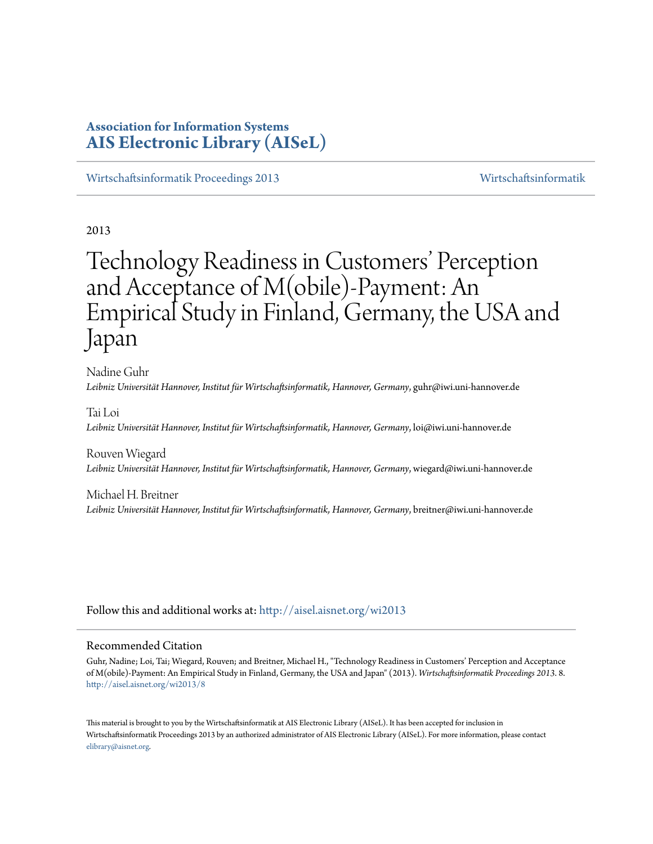# **Association for Information Systems [AIS Electronic Library \(AISeL\)](http://aisel.aisnet.org?utm_source=aisel.aisnet.org%2Fwi2013%2F8&utm_medium=PDF&utm_campaign=PDFCoverPages)**

[Wirtschaftsinformatik Proceedings 2013](http://aisel.aisnet.org/wi2013?utm_source=aisel.aisnet.org%2Fwi2013%2F8&utm_medium=PDF&utm_campaign=PDFCoverPages) [Wirtschaftsinformatik](http://aisel.aisnet.org/wi?utm_source=aisel.aisnet.org%2Fwi2013%2F8&utm_medium=PDF&utm_campaign=PDFCoverPages)

2013

# Technology Readiness in Customers' Perception and Acceptance of M(obile)-Payment: An Empirical Study in Finland, Germany, the USA and Japan

Nadine Guhr *Leibniz Universität Hannover, Institut für Wirtschaftsinformatik, Hannover, Germany*, guhr@iwi.uni-hannover.de

Tai Loi *Leibniz Universität Hannover, Institut für Wirtschaftsinformatik, Hannover, Germany*, loi@iwi.uni-hannover.de

Rouven Wiegard *Leibniz Universität Hannover, Institut für Wirtschaftsinformatik, Hannover, Germany*, wiegard@iwi.uni-hannover.de

Michael H. Breitner *Leibniz Universität Hannover, Institut für Wirtschaftsinformatik, Hannover, Germany*, breitner@iwi.uni-hannover.de

Follow this and additional works at: [http://aisel.aisnet.org/wi2013](http://aisel.aisnet.org/wi2013?utm_source=aisel.aisnet.org%2Fwi2013%2F8&utm_medium=PDF&utm_campaign=PDFCoverPages)

### Recommended Citation

Guhr, Nadine; Loi, Tai; Wiegard, Rouven; and Breitner, Michael H., "Technology Readiness in Customers' Perception and Acceptance of M(obile)-Payment: An Empirical Study in Finland, Germany, the USA and Japan" (2013). *Wirtschaftsinformatik Proceedings 2013*. 8. [http://aisel.aisnet.org/wi2013/8](http://aisel.aisnet.org/wi2013/8?utm_source=aisel.aisnet.org%2Fwi2013%2F8&utm_medium=PDF&utm_campaign=PDFCoverPages)

This material is brought to you by the Wirtschaftsinformatik at AIS Electronic Library (AISeL). It has been accepted for inclusion in Wirtschaftsinformatik Proceedings 2013 by an authorized administrator of AIS Electronic Library (AISeL). For more information, please contact [elibrary@aisnet.org.](mailto:elibrary@aisnet.org%3E)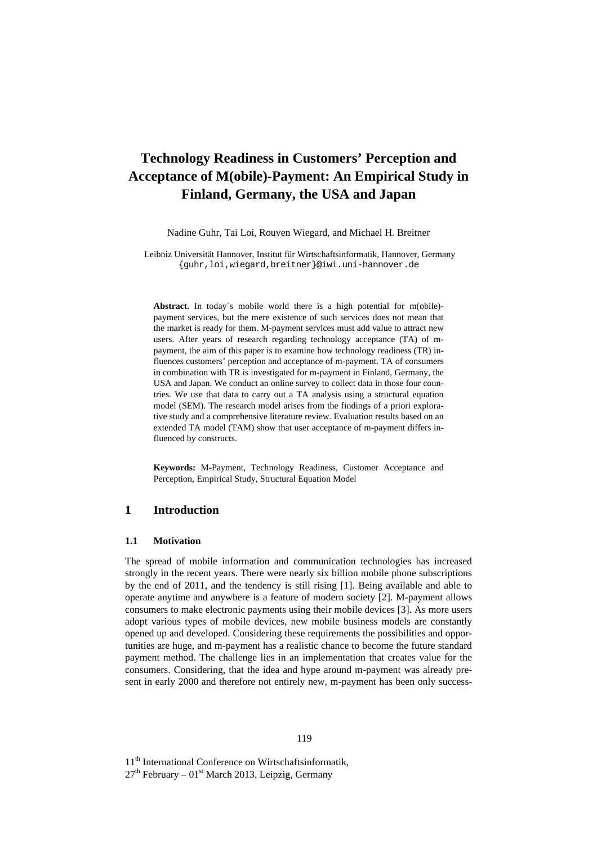# **Technology Readiness in Customers' Perception and Acceptance of M(obile)-Payment: An Empirical Study in Finland, Germany, the USA and Japan**

Nadine Guhr, Tai Loi, Rouven Wiegard, and Michael H. Breitner

Leibniz Universität Hannover, Institut für Wirtschaftsinformatik, Hannover, Germany {guhr,loi,wiegard,breitner}@iwi.uni-hannover.de

**Abstract.** In today`s mobile world there is a high potential for m(obile) payment services, but the mere existence of such services does not mean that the market is ready for them. M-payment services must add value to attract new users. After years of research regarding technology acceptance (TA) of mpayment, the aim of this paper is to examine how technology readiness (TR) influences customers' perception and acceptance of m-payment. TA of consumers in combination with TR is investigated for m-payment in Finland, Germany, the USA and Japan. We conduct an online survey to collect data in those four countries. We use that data to carry out a TA analysis using a structural equation model (SEM). The research model arises from the findings of a priori explorative study and a comprehensive literature review. Evaluation results based on an extended TA model (TAM) show that user acceptance of m-payment differs influenced by constructs.

**Keywords:** M-Payment, Technology Readiness, Customer Acceptance and Perception, Empirical Study, Structural Equation Model

# **1 Introduction**

# **1.1 Motivation**

The spread of mobile information and communication technologies has increased strongly in the recent years. There were nearly six billion mobile phone subscriptions by the end of 2011, and the tendency is still rising [1]. Being available and able to operate anytime and anywhere is a feature of modern society [2]. M-payment allows consumers to make electronic payments using their mobile devices [3]. As more users adopt various types of mobile devices, new mobile business models are constantly opened up and developed. Considering these requirements the possibilities and opportunities are huge, and m-payment has a realistic chance to become the future standard payment method. The challenge lies in an implementation that creates value for the consumers. Considering, that the idea and hype around m-payment was already present in early 2000 and therefore not entirely new, m-payment has been only success-

11<sup>th</sup> International Conference on Wirtschaftsinformatik,

 $27<sup>th</sup>$  February – 01<sup>st</sup> March 2013, Leipzig, Germany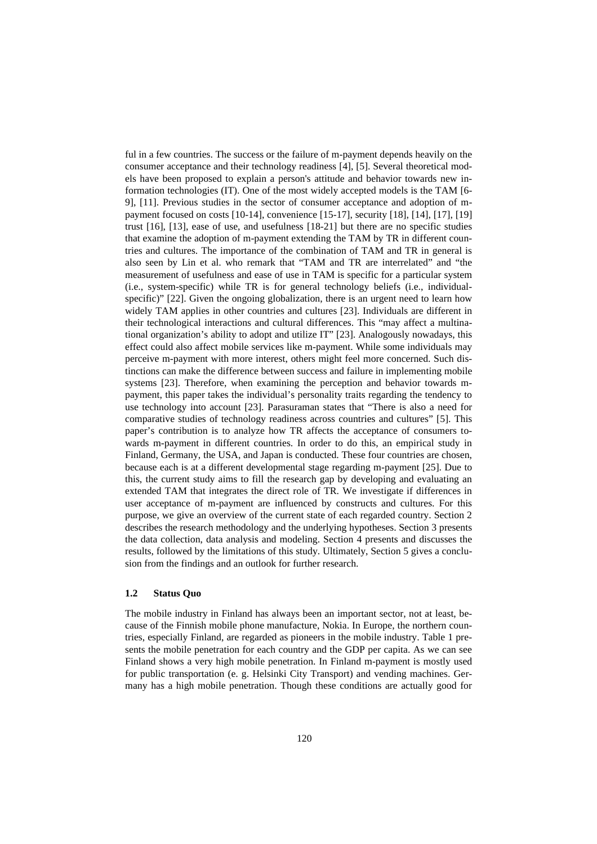ful in a few countries. The success or the failure of m-payment depends heavily on the consumer acceptance and their technology readiness [4], [5]. Several theoretical models have been proposed to explain a person's attitude and behavior towards new information technologies (IT). One of the most widely accepted models is the TAM [6- 9], [11]. Previous studies in the sector of consumer acceptance and adoption of mpayment focused on costs [10-14], convenience [15-17], security [18], [14], [17], [19] trust [16], [13], ease of use, and usefulness [18-21] but there are no specific studies that examine the adoption of m-payment extending the TAM by TR in different countries and cultures. The importance of the combination of TAM and TR in general is also seen by Lin et al. who remark that "TAM and TR are interrelated" and "the measurement of usefulness and ease of use in TAM is specific for a particular system (i.e., system-specific) while TR is for general technology beliefs (i.e., individualspecific)" [22]. Given the ongoing globalization, there is an urgent need to learn how widely TAM applies in other countries and cultures [23]. Individuals are different in their technological interactions and cultural differences. This "may affect a multinational organization's ability to adopt and utilize IT" [23]. Analogously nowadays, this effect could also affect mobile services like m-payment. While some individuals may perceive m-payment with more interest, others might feel more concerned. Such distinctions can make the difference between success and failure in implementing mobile systems [23]. Therefore, when examining the perception and behavior towards mpayment, this paper takes the individual's personality traits regarding the tendency to use technology into account [23]. Parasuraman states that "There is also a need for comparative studies of technology readiness across countries and cultures" [5]. This paper's contribution is to analyze how TR affects the acceptance of consumers towards m-payment in different countries. In order to do this, an empirical study in Finland, Germany, the USA, and Japan is conducted. These four countries are chosen, because each is at a different developmental stage regarding m-payment [25]. Due to this, the current study aims to fill the research gap by developing and evaluating an extended TAM that integrates the direct role of TR. We investigate if differences in user acceptance of m-payment are influenced by constructs and cultures. For this purpose, we give an overview of the current state of each regarded country. Section 2 describes the research methodology and the underlying hypotheses. Section 3 presents the data collection, data analysis and modeling. Section 4 presents and discusses the results, followed by the limitations of this study. Ultimately, Section 5 gives a conclusion from the findings and an outlook for further research.

#### **1.2 Status Quo**

The mobile industry in Finland has always been an important sector, not at least, because of the Finnish mobile phone manufacture, Nokia. In Europe, the northern countries, especially Finland, are regarded as pioneers in the mobile industry. Table 1 presents the mobile penetration for each country and the GDP per capita. As we can see Finland shows a very high mobile penetration. In Finland m-payment is mostly used for public transportation (e. g. Helsinki City Transport) and vending machines. Germany has a high mobile penetration. Though these conditions are actually good for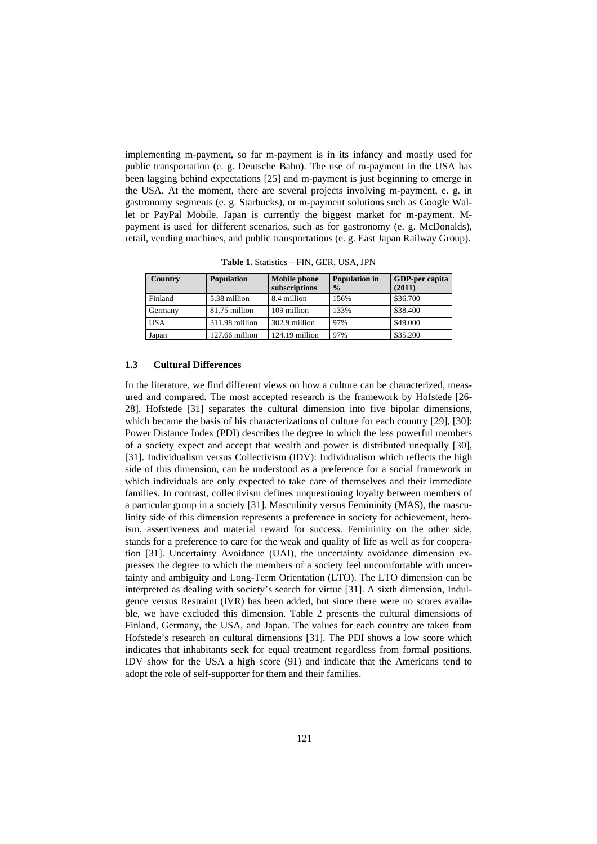implementing m-payment, so far m-payment is in its infancy and mostly used for public transportation (e. g. Deutsche Bahn). The use of m-payment in the USA has been lagging behind expectations [25] and m-payment is just beginning to emerge in the USA. At the moment, there are several projects involving m-payment, e. g. in gastronomy segments (e. g. Starbucks), or m-payment solutions such as Google Wallet or PayPal Mobile. Japan is currently the biggest market for m-payment. Mpayment is used for different scenarios, such as for gastronomy (e. g. McDonalds), retail, vending machines, and public transportations (e. g. East Japan Railway Group).

| Country    | <b>Population</b> | <b>Mobile phone</b><br>subscriptions | <b>Population</b> in<br>$\frac{0}{0}$ | <b>GDP-per capita</b><br>(2011) |  |  |
|------------|-------------------|--------------------------------------|---------------------------------------|---------------------------------|--|--|
| Finland    | 5.38 million      | 8.4 million                          | 156%                                  | \$36.700                        |  |  |
| Germany    | 81.75 million     | 109 million                          | 133%                                  | \$38,400                        |  |  |
| <b>USA</b> | 311.98 million    | 302.9 million                        | 97%                                   | \$49,000                        |  |  |
| Japan      | 127.66 million    | 124.19 million                       | 97%                                   | \$35.200                        |  |  |

**Table 1.** Statistics – FIN, GER, USA, JPN

#### **1.3 Cultural Differences**

In the literature, we find different views on how a culture can be characterized, measured and compared. The most accepted research is the framework by Hofstede [26- 28]. Hofstede [31] separates the cultural dimension into five bipolar dimensions, which became the basis of his characterizations of culture for each country [29], [30]: Power Distance Index (PDI) describes the degree to which the less powerful members of a society expect and accept that wealth and power is distributed unequally [30], [31]. Individualism versus Collectivism (IDV): Individualism which reflects the high side of this dimension, can be understood as a preference for a social framework in which individuals are only expected to take care of themselves and their immediate families. In contrast, collectivism defines unquestioning loyalty between members of a particular group in a society [31]. Masculinity versus Femininity (MAS), the masculinity side of this dimension represents a preference in society for achievement, heroism, assertiveness and material reward for success. Femininity on the other side, stands for a preference to care for the weak and quality of life as well as for cooperation [31]. Uncertainty Avoidance (UAI), the uncertainty avoidance dimension expresses the degree to which the members of a society feel uncomfortable with uncertainty and ambiguity and Long-Term Orientation (LTO). The LTO dimension can be interpreted as dealing with society's search for virtue [31]. A sixth dimension, Indulgence versus Restraint (IVR) has been added, but since there were no scores available, we have excluded this dimension. Table 2 presents the cultural dimensions of Finland, Germany, the USA, and Japan. The values for each country are taken from Hofstede's research on cultural dimensions [31]. The PDI shows a low score which indicates that inhabitants seek for equal treatment regardless from formal positions. IDV show for the USA a high score (91) and indicate that the Americans tend to adopt the role of self-supporter for them and their families.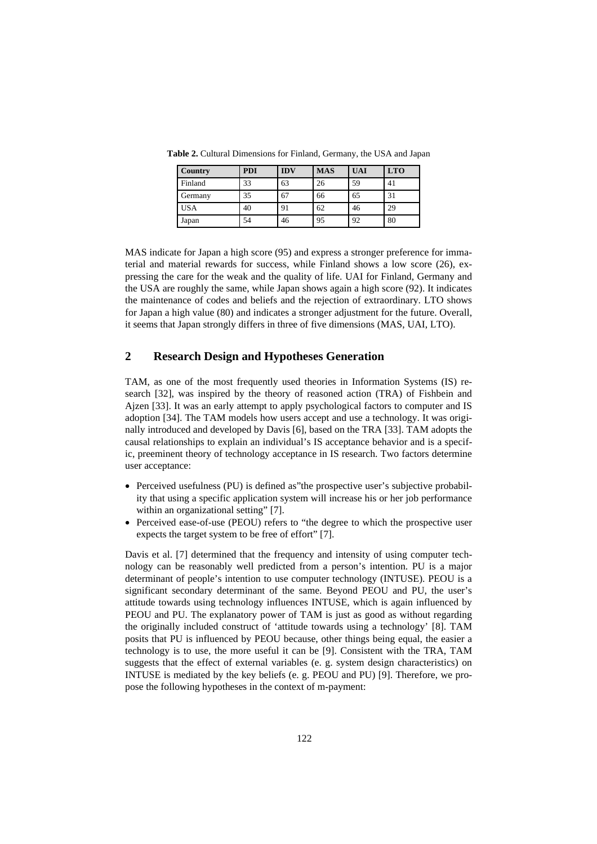| <b>Country</b> | <b>PDI</b> | <b>IDV</b> | <b>MAS</b> | <b>UAI</b> | <b>LTO</b> |
|----------------|------------|------------|------------|------------|------------|
| Finland        | 33         | 63         | 26         | 59         | 41         |
| Germany        | 35         | 67         | 66         | 65         | 31         |
| <b>USA</b>     | 40         | 91         | 62         | 46         | 29         |
| Japan          | 54         | 46         | 95         | 92         | 80         |

**Table 2.** Cultural Dimensions for Finland, Germany, the USA and Japan

MAS indicate for Japan a high score (95) and express a stronger preference for immaterial and material rewards for success, while Finland shows a low score (26), expressing the care for the weak and the quality of life. UAI for Finland, Germany and the USA are roughly the same, while Japan shows again a high score (92). It indicates the maintenance of codes and beliefs and the rejection of extraordinary. LTO shows for Japan a high value (80) and indicates a stronger adjustment for the future. Overall, it seems that Japan strongly differs in three of five dimensions (MAS, UAI, LTO).

# **2 Research Design and Hypotheses Generation**

TAM, as one of the most frequently used theories in Information Systems (IS) research [32], was inspired by the theory of reasoned action (TRA) of Fishbein and Ajzen [33]. It was an early attempt to apply psychological factors to computer and IS adoption [34]. The TAM models how users accept and use a technology. It was originally introduced and developed by Davis [6], based on the TRA [33]. TAM adopts the causal relationships to explain an individual's IS acceptance behavior and is a specific, preeminent theory of technology acceptance in IS research. Two factors determine user acceptance:

- Perceived usefulness (PU) is defined as"the prospective user's subjective probability that using a specific application system will increase his or her job performance within an organizational setting" [7].
- Perceived ease-of-use (PEOU) refers to "the degree to which the prospective user expects the target system to be free of effort" [7].

Davis et al. [7] determined that the frequency and intensity of using computer technology can be reasonably well predicted from a person's intention. PU is a major determinant of people's intention to use computer technology (INTUSE). PEOU is a significant secondary determinant of the same. Beyond PEOU and PU, the user's attitude towards using technology influences INTUSE, which is again influenced by PEOU and PU. The explanatory power of TAM is just as good as without regarding the originally included construct of 'attitude towards using a technology' [8]. TAM posits that PU is influenced by PEOU because, other things being equal, the easier a technology is to use, the more useful it can be [9]. Consistent with the TRA, TAM suggests that the effect of external variables (e. g. system design characteristics) on INTUSE is mediated by the key beliefs (e. g. PEOU and PU) [9]. Therefore, we propose the following hypotheses in the context of m-payment: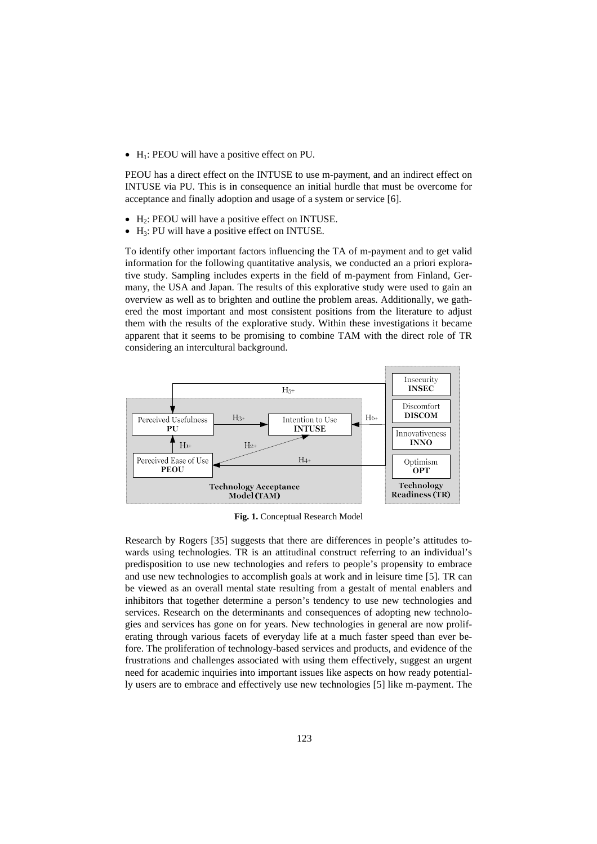$\bullet$  H<sub>1</sub>: PEOU will have a positive effect on PU.

PEOU has a direct effect on the INTUSE to use m-payment, and an indirect effect on INTUSE via PU. This is in consequence an initial hurdle that must be overcome for acceptance and finally adoption and usage of a system or service [6].

- $\bullet$  H<sub>2</sub>: PEOU will have a positive effect on INTUSE.
- $\bullet$  H<sub>3</sub>: PU will have a positive effect on INTUSE.

To identify other important factors influencing the TA of m-payment and to get valid information for the following quantitative analysis, we conducted an a priori explorative study. Sampling includes experts in the field of m-payment from Finland, Germany, the USA and Japan. The results of this explorative study were used to gain an overview as well as to brighten and outline the problem areas. Additionally, we gathered the most important and most consistent positions from the literature to adjust them with the results of the explorative study. Within these investigations it became apparent that it seems to be promising to combine TAM with the direct role of TR considering an intercultural background.



**Fig. 1.** Conceptual Research Model

Research by Rogers [35] suggests that there are differences in people's attitudes towards using technologies. TR is an attitudinal construct referring to an individual's predisposition to use new technologies and refers to people's propensity to embrace and use new technologies to accomplish goals at work and in leisure time [5]. TR can be viewed as an overall mental state resulting from a gestalt of mental enablers and inhibitors that together determine a person's tendency to use new technologies and services. Research on the determinants and consequences of adopting new technologies and services has gone on for years. New technologies in general are now proliferating through various facets of everyday life at a much faster speed than ever before. The proliferation of technology-based services and products, and evidence of the frustrations and challenges associated with using them effectively, suggest an urgent need for academic inquiries into important issues like aspects on how ready potentially users are to embrace and effectively use new technologies [5] like m-payment. The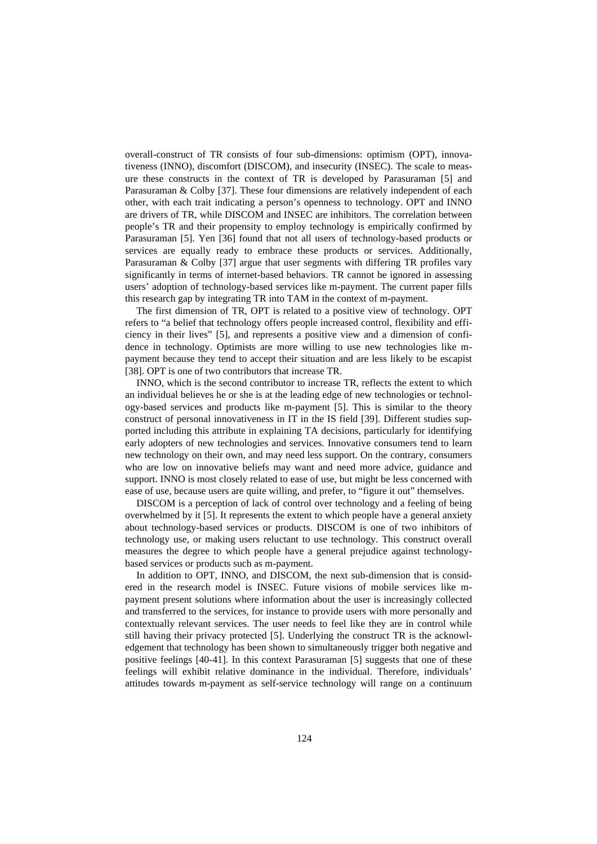overall-construct of TR consists of four sub-dimensions: optimism (OPT), innovativeness (INNO), discomfort (DISCOM), and insecurity (INSEC). The scale to measure these constructs in the context of TR is developed by Parasuraman [5] and Parasuraman & Colby [37]. These four dimensions are relatively independent of each other, with each trait indicating a person's openness to technology. OPT and INNO are drivers of TR, while DISCOM and INSEC are inhibitors. The correlation between people's TR and their propensity to employ technology is empirically confirmed by Parasuraman [5]. Yen [36] found that not all users of technology-based products or services are equally ready to embrace these products or services. Additionally, Parasuraman & Colby [37] argue that user segments with differing TR profiles vary significantly in terms of internet-based behaviors. TR cannot be ignored in assessing users' adoption of technology-based services like m-payment. The current paper fills this research gap by integrating TR into TAM in the context of m-payment.

The first dimension of TR, OPT is related to a positive view of technology. OPT refers to "a belief that technology offers people increased control, flexibility and efficiency in their lives" [5], and represents a positive view and a dimension of confidence in technology. Optimists are more willing to use new technologies like mpayment because they tend to accept their situation and are less likely to be escapist [38]. OPT is one of two contributors that increase TR.

INNO, which is the second contributor to increase TR, reflects the extent to which an individual believes he or she is at the leading edge of new technologies or technology-based services and products like m-payment [5]. This is similar to the theory construct of personal innovativeness in IT in the IS field [39]. Different studies supported including this attribute in explaining TA decisions, particularly for identifying early adopters of new technologies and services. Innovative consumers tend to learn new technology on their own, and may need less support. On the contrary, consumers who are low on innovative beliefs may want and need more advice, guidance and support. INNO is most closely related to ease of use, but might be less concerned with ease of use, because users are quite willing, and prefer, to "figure it out" themselves.

DISCOM is a perception of lack of control over technology and a feeling of being overwhelmed by it [5]. It represents the extent to which people have a general anxiety about technology-based services or products. DISCOM is one of two inhibitors of technology use, or making users reluctant to use technology. This construct overall measures the degree to which people have a general prejudice against technologybased services or products such as m-payment.

In addition to OPT, INNO, and DISCOM, the next sub-dimension that is considered in the research model is INSEC. Future visions of mobile services like mpayment present solutions where information about the user is increasingly collected and transferred to the services, for instance to provide users with more personally and contextually relevant services. The user needs to feel like they are in control while still having their privacy protected [5]. Underlying the construct TR is the acknowledgement that technology has been shown to simultaneously trigger both negative and positive feelings [40-41]. In this context Parasuraman [5] suggests that one of these feelings will exhibit relative dominance in the individual. Therefore, individuals' attitudes towards m-payment as self-service technology will range on a continuum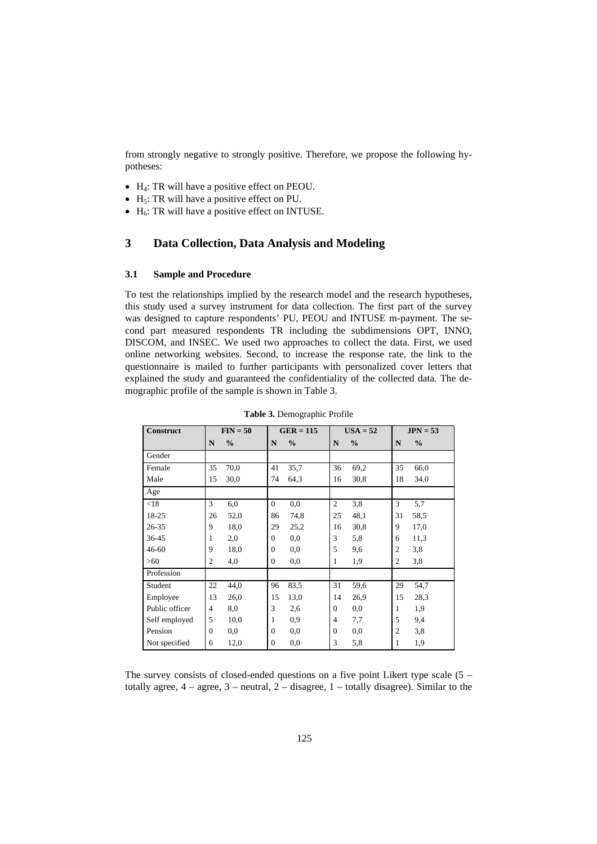from strongly negative to strongly positive. Therefore, we propose the following hypotheses:

- $\bullet$  H<sub>4</sub>: TR will have a positive effect on PEOU.
- $\bullet$  H<sub>5</sub>: TR will have a positive effect on PU.
- $\bullet$  H<sub>6</sub>: TR will have a positive effect on INTUSE.

# **3 Data Collection, Data Analysis and Modeling**

# **3.1 Sample and Procedure**

To test the relationships implied by the research model and the research hypotheses, this study used a survey instrument for data collection. The first part of the survey was designed to capture respondents' PU, PEOU and INTUSE m-payment. The second part measured respondents TR including the subdimensions OPT, INNO, DISCOM, and INSEC. We used two approaches to collect the data. First, we used online networking websites. Second, to increase the response rate, the link to the questionnaire is mailed to further participants with personalized cover letters that explained the study and guaranteed the confidentiality of the collected data. The demographic profile of the sample is shown in Table 3.

| <b>Construct</b> |                | $FIN = 50$    | $GER = 115$    |               |                | $USA = 52$    |                | $JPN = 53$    |
|------------------|----------------|---------------|----------------|---------------|----------------|---------------|----------------|---------------|
|                  | $\mathbf N$    | $\frac{0}{0}$ | N              | $\frac{0}{0}$ | N              | $\frac{0}{0}$ | N              | $\frac{0}{0}$ |
| Gender           |                |               |                |               |                |               |                |               |
| Female           | 35             | 70,0          | 41             | 35,7          | 36             | 69,2          | 35             | 66,0          |
| Male             | 15             | 30,0          | 74             | 64,3          | 16             | 30,8          | 18             | 34,0          |
| Age              |                |               |                |               |                |               |                |               |
| < 18             | 3              | 6,0           | $\Omega$       | 0,0           | $\overline{2}$ | 3,8           | 3              | 5,7           |
| 18-25            | 26             | 52,0          | 86             | 74,8          | 25             | 48,1          | 31             | 58,5          |
| $26 - 35$        | 9              | 18,0          | 29             | 25,2          | 16             | 30,8          | 9              | 17,0          |
| 36-45            | 1              | 2,0           | $\overline{0}$ | 0,0           | 3              | 5,8           | 6              | 11,3          |
| $46 - 60$        | 9              | 18,0          | $\Omega$       | 0,0           | 5              | 9,6           | $\overline{c}$ | 3,8           |
| $>60$            | $\overline{c}$ | 4,0           | $\Omega$       | 0,0           | 1              | 1,9           | $\overline{c}$ | 3,8           |
| Profession       |                |               |                |               |                |               |                |               |
| Student          | 22             | 44,0          | 96             | 83,5          | 31             | 59,6          | 29             | 54,7          |
| Employee         | 13             | 26,0          | 15             | 13,0          | 14             | 26,9          | 15             | 28,3          |
| Public officer   | $\overline{4}$ | 8,0           | 3              | 2.6           | $\Omega$       | 0.0           | 1              | 1,9           |
| Self employed    | 5              | 10,0          | 1              | 0,9           | $\overline{4}$ | 7,7           | 5              | 9,4           |
| Pension          | $\Omega$       | 0,0           | $\Omega$       | 0,0           | $\Omega$       | 0,0           | $\overline{c}$ | 3,8           |
| Not specified    | 6              | 12,0          | $\Omega$       | 0,0           | 3              | 5,8           | 1              | 1,9           |

**Table 3.** Demographic Profile

The survey consists of closed-ended questions on a five point Likert type scale (5 – totally agree,  $4 - \text{agree}$ ,  $3 - \text{neutral}$ ,  $2 - \text{disagree}$ ,  $1 - \text{totally disagree}$ ). Similar to the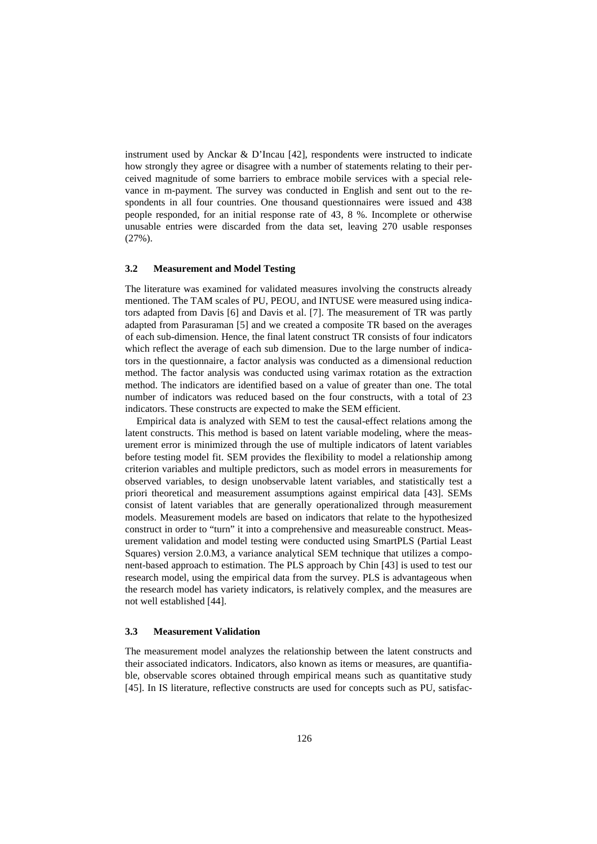instrument used by Anckar & D'Incau [42], respondents were instructed to indicate how strongly they agree or disagree with a number of statements relating to their perceived magnitude of some barriers to embrace mobile services with a special relevance in m-payment. The survey was conducted in English and sent out to the respondents in all four countries. One thousand questionnaires were issued and 438 people responded, for an initial response rate of 43, 8 %. Incomplete or otherwise unusable entries were discarded from the data set, leaving 270 usable responses (27%).

# **3.2 Measurement and Model Testing**

The literature was examined for validated measures involving the constructs already mentioned. The TAM scales of PU, PEOU, and INTUSE were measured using indicators adapted from Davis [6] and Davis et al. [7]. The measurement of TR was partly adapted from Parasuraman [5] and we created a composite TR based on the averages of each sub-dimension. Hence, the final latent construct TR consists of four indicators which reflect the average of each sub dimension. Due to the large number of indicators in the questionnaire, a factor analysis was conducted as a dimensional reduction method. The factor analysis was conducted using varimax rotation as the extraction method. The indicators are identified based on a value of greater than one. The total number of indicators was reduced based on the four constructs, with a total of 23 indicators. These constructs are expected to make the SEM efficient.

Empirical data is analyzed with SEM to test the causal-effect relations among the latent constructs. This method is based on latent variable modeling, where the measurement error is minimized through the use of multiple indicators of latent variables before testing model fit. SEM provides the flexibility to model a relationship among criterion variables and multiple predictors, such as model errors in measurements for observed variables, to design unobservable latent variables, and statistically test a priori theoretical and measurement assumptions against empirical data [43]. SEMs consist of latent variables that are generally operationalized through measurement models. Measurement models are based on indicators that relate to the hypothesized construct in order to "turn" it into a comprehensive and measureable construct. Measurement validation and model testing were conducted using SmartPLS (Partial Least Squares) version 2.0.M3, a variance analytical SEM technique that utilizes a component-based approach to estimation. The PLS approach by Chin [43] is used to test our research model, using the empirical data from the survey. PLS is advantageous when the research model has variety indicators, is relatively complex, and the measures are not well established [44].

#### **3.3 Measurement Validation**

The measurement model analyzes the relationship between the latent constructs and their associated indicators. Indicators, also known as items or measures, are quantifiable, observable scores obtained through empirical means such as quantitative study [45]. In IS literature, reflective constructs are used for concepts such as PU, satisfac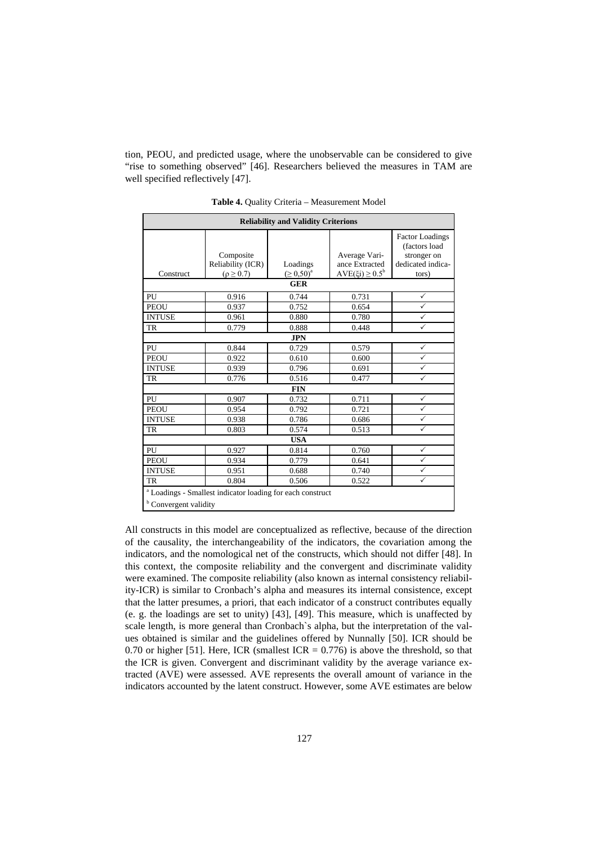tion, PEOU, and predicted usage, where the unobservable can be considered to give "rise to something observed" [46]. Researchers believed the measures in TAM are well specified reflectively [47].

| <b>Reliability and Validity Criterions</b> |                                                                       |                              |                                                           |                                                                                      |  |  |  |  |  |  |
|--------------------------------------------|-----------------------------------------------------------------------|------------------------------|-----------------------------------------------------------|--------------------------------------------------------------------------------------|--|--|--|--|--|--|
| Construct                                  | Composite<br>Reliability (ICR)<br>$(\rho \geq 0.7)$                   | Loadings<br>$( \ge 0, 50)^a$ | Average Vari-<br>ance Extracted<br>$AVE(\xi i) \ge 0.5^b$ | <b>Factor Loadings</b><br>(factors load<br>stronger on<br>dedicated indica-<br>tors) |  |  |  |  |  |  |
| <b>GER</b>                                 |                                                                       |                              |                                                           |                                                                                      |  |  |  |  |  |  |
| PU                                         | 0.916                                                                 | 0.744                        | 0.731                                                     | $\checkmark$                                                                         |  |  |  |  |  |  |
| <b>PEOU</b>                                | 0.937                                                                 | 0.752                        | 0.654                                                     | ✓                                                                                    |  |  |  |  |  |  |
| <b>INTUSE</b>                              | 0.961                                                                 | 0.880                        | 0.780                                                     | $\checkmark$                                                                         |  |  |  |  |  |  |
| <b>TR</b>                                  | 0.779                                                                 | 0.888                        | 0.448                                                     | ✓                                                                                    |  |  |  |  |  |  |
|                                            |                                                                       | <b>JPN</b>                   |                                                           |                                                                                      |  |  |  |  |  |  |
| PU                                         | 0.844                                                                 | 0.729                        | 0.579                                                     | $\checkmark$                                                                         |  |  |  |  |  |  |
| <b>PEOU</b>                                | 0.922                                                                 | 0.610                        | 0.600                                                     | $\checkmark$                                                                         |  |  |  |  |  |  |
| <b>INTUSE</b>                              | 0.939                                                                 | 0.796                        | 0.691                                                     | $\checkmark$                                                                         |  |  |  |  |  |  |
| TR                                         | 0.776                                                                 | 0.516                        | 0.477                                                     | $\checkmark$                                                                         |  |  |  |  |  |  |
|                                            |                                                                       | <b>FIN</b>                   |                                                           |                                                                                      |  |  |  |  |  |  |
| PU                                         | 0.907                                                                 | 0.732                        | 0.711                                                     | $\checkmark$                                                                         |  |  |  |  |  |  |
| <b>PEOU</b>                                | 0.954                                                                 | 0.792                        | 0.721                                                     | $\checkmark$                                                                         |  |  |  |  |  |  |
| <b>INTUSE</b>                              | 0.938                                                                 | 0.786                        | 0.686                                                     | ✓                                                                                    |  |  |  |  |  |  |
| <b>TR</b>                                  | 0.803                                                                 | 0.574                        | 0.513                                                     | $\checkmark$                                                                         |  |  |  |  |  |  |
|                                            |                                                                       | <b>USA</b>                   |                                                           |                                                                                      |  |  |  |  |  |  |
| PU                                         | 0.927                                                                 | 0.814                        | 0.760                                                     | $\checkmark$                                                                         |  |  |  |  |  |  |
| <b>PEOU</b>                                | 0.934                                                                 | 0.779                        | 0.641                                                     | $\checkmark$                                                                         |  |  |  |  |  |  |
| <b>INTUSE</b>                              | 0.951                                                                 | 0.688                        | 0.740                                                     | $\checkmark$                                                                         |  |  |  |  |  |  |
| <b>TR</b>                                  | 0.804                                                                 | 0.506                        | 0.522                                                     | $\checkmark$                                                                         |  |  |  |  |  |  |
| <sup>b</sup> Convergent validity           | <sup>a</sup> Loadings - Smallest indicator loading for each construct |                              |                                                           |                                                                                      |  |  |  |  |  |  |

**Table 4.** Quality Criteria – Measurement Model

All constructs in this model are conceptualized as reflective, because of the direction of the causality, the interchangeability of the indicators, the covariation among the indicators, and the nomological net of the constructs, which should not differ [48]. In this context, the composite reliability and the convergent and discriminate validity were examined. The composite reliability (also known as internal consistency reliability-ICR) is similar to Cronbach's alpha and measures its internal consistence, except that the latter presumes, a priori, that each indicator of a construct contributes equally (e. g. the loadings are set to unity) [43], [49]. This measure, which is unaffected by scale length, is more general than Cronbach`s alpha, but the interpretation of the values obtained is similar and the guidelines offered by Nunnally [50]. ICR should be 0.70 or higher [51]. Here, ICR (smallest ICR =  $0.776$ ) is above the threshold, so that the ICR is given. Convergent and discriminant validity by the average variance extracted (AVE) were assessed. AVE represents the overall amount of variance in the indicators accounted by the latent construct. However, some AVE estimates are below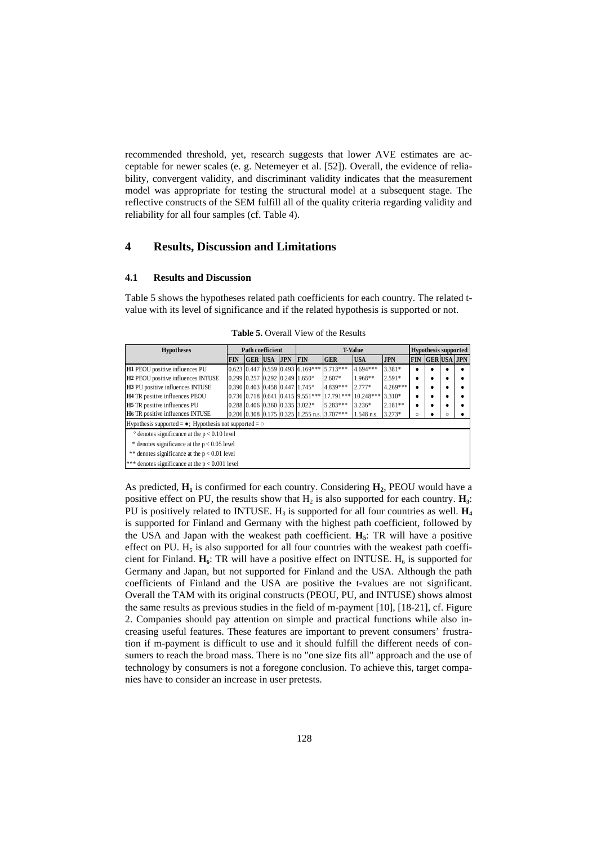recommended threshold, yet, research suggests that lower AVE estimates are acceptable for newer scales (e. g. Netemeyer et al. [52]). Overall, the evidence of reliability, convergent validity, and discriminant validity indicates that the measurement model was appropriate for testing the structural model at a subsequent stage. The reflective constructs of the SEM fulfill all of the quality criteria regarding validity and reliability for all four samples (cf. Table 4).

# **4 Results, Discussion and Limitations**

#### **4.1 Results and Discussion**

Table 5 shows the hypotheses related path coefficients for each country. The related tvalue with its level of significance and if the related hypothesis is supported or not.

| <b>Hypotheses</b><br>Path coefficient                                 |  |  | <b>T-Value</b> |                        |                                                     |             | <b>Hypothesis supported</b> |            |            |                   |   |  |
|-----------------------------------------------------------------------|--|--|----------------|------------------------|-----------------------------------------------------|-------------|-----------------------------|------------|------------|-------------------|---|--|
| <b>FIN</b>                                                            |  |  |                | <b>GER USA JPN FIN</b> |                                                     | <b>GER</b>  | <b>USA</b>                  | <b>JPN</b> | <b>FIN</b> | <b>GERUSA JPN</b> |   |  |
| H1 PEOU positive influences PU                                        |  |  |                |                        | $0.623$ 0.447 0.559 0.493 6.169***                  | $15.713***$ | 4.694***                    | 3.381*     |            |                   |   |  |
| H <sub>2</sub> PEOU positive influences INTUSE                        |  |  |                |                        | $0.299$ $0.257$ $0.292$ $0.249$ $1.650^{\circ}$     | 2.607*      | 1.968**                     | $2.591*$   |            |                   | ٠ |  |
| H3 PU positive influences INTUSE                                      |  |  |                |                        | $0.390$ $0.403$ $0.458$ $0.447$ $1.745$ °           | 4.839***    | $2.777*$                    | $4.269***$ |            |                   | ٠ |  |
| H4 TR positive influences PEOU                                        |  |  |                |                        | $0.736$ $0.718$ $0.641$ $0.415$ $9.551***$          | 17.791***   | 10.248***                   | $3.310*$   |            |                   | ٠ |  |
| <b>H5</b> TR positive influences PU                                   |  |  |                |                        | 0.288 0.406 0.360 0.335 3.022*                      | 5.283***    | $3.236*$                    | $2.181**$  |            |                   | ٠ |  |
| H6 TR positive influences INTUSE                                      |  |  |                |                        | $0.206$ $0.308$ $0.175$ $0.325$ 1.255 n.s. 3.707*** |             | 1.548 n.s.                  | $3.273*$   | O          |                   | Ω |  |
| Hypothesis supported = $\bullet$ ; Hypothesis not supported = $\circ$ |  |  |                |                        |                                                     |             |                             |            |            |                   |   |  |
| $\degree$ denotes significance at the $p < 0.10$ level                |  |  |                |                        |                                                     |             |                             |            |            |                   |   |  |
| * denotes significance at the $p < 0.05$ level                        |  |  |                |                        |                                                     |             |                             |            |            |                   |   |  |
| ** denotes significance at the $p < 0.01$ level                       |  |  |                |                        |                                                     |             |                             |            |            |                   |   |  |
| *** denotes significance at the $p < 0.001$ level                     |  |  |                |                        |                                                     |             |                             |            |            |                   |   |  |

**Table 5.** Overall View of the Results

As predicted,  $\mathbf{H}_1$  is confirmed for each country. Considering  $\mathbf{H}_2$ , PEOU would have a positive effect on PU, the results show that  $H_2$  is also supported for each country.  $H_3$ : PU is positively related to INTUSE. H<sub>3</sub> is supported for all four countries as well.  $H_4$ is supported for Finland and Germany with the highest path coefficient, followed by the USA and Japan with the weakest path coefficient. **H5**: TR will have a positive effect on PU.  $H_5$  is also supported for all four countries with the weakest path coefficient for Finland.  $H_6$ : TR will have a positive effect on INTUSE.  $H_6$  is supported for Germany and Japan, but not supported for Finland and the USA. Although the path coefficients of Finland and the USA are positive the t-values are not significant. Overall the TAM with its original constructs (PEOU, PU, and INTUSE) shows almost the same results as previous studies in the field of m-payment [10], [18-21], cf. Figure 2. Companies should pay attention on simple and practical functions while also increasing useful features. These features are important to prevent consumers' frustration if m-payment is difficult to use and it should fulfill the different needs of consumers to reach the broad mass. There is no "one size fits all" approach and the use of technology by consumers is not a foregone conclusion. To achieve this, target companies have to consider an increase in user pretests.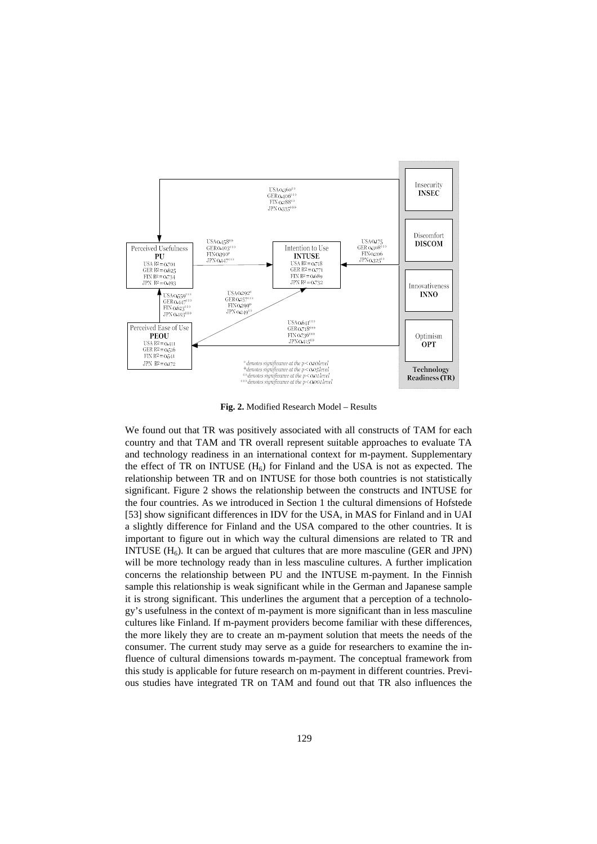

**Fig. 2.** Modified Research Model – Results

We found out that TR was positively associated with all constructs of TAM for each country and that TAM and TR overall represent suitable approaches to evaluate TA and technology readiness in an international context for m-payment. Supplementary the effect of TR on INTUSE  $(H_6)$  for Finland and the USA is not as expected. The relationship between TR and on INTUSE for those both countries is not statistically significant. Figure 2 shows the relationship between the constructs and INTUSE for the four countries. As we introduced in Section 1 the cultural dimensions of Hofstede [53] show significant differences in IDV for the USA, in MAS for Finland and in UAI a slightly difference for Finland and the USA compared to the other countries. It is important to figure out in which way the cultural dimensions are related to TR and INTUSE  $(H_6)$ . It can be argued that cultures that are more masculine (GER and JPN) will be more technology ready than in less masculine cultures. A further implication concerns the relationship between PU and the INTUSE m-payment. In the Finnish sample this relationship is weak significant while in the German and Japanese sample it is strong significant. This underlines the argument that a perception of a technology's usefulness in the context of m-payment is more significant than in less masculine cultures like Finland. If m-payment providers become familiar with these differences, the more likely they are to create an m-payment solution that meets the needs of the consumer. The current study may serve as a guide for researchers to examine the influence of cultural dimensions towards m-payment. The conceptual framework from this study is applicable for future research on m-payment in different countries. Previous studies have integrated TR on TAM and found out that TR also influences the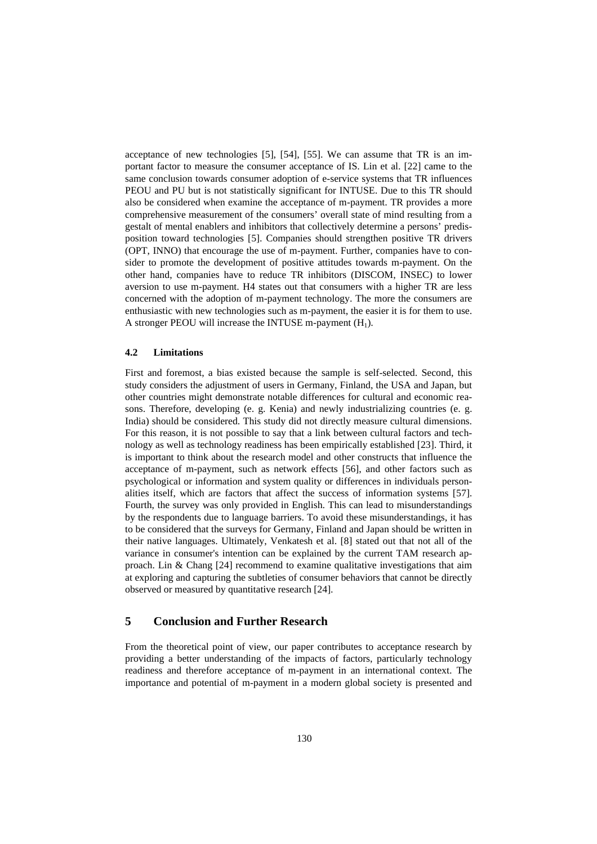acceptance of new technologies [5], [54], [55]. We can assume that TR is an important factor to measure the consumer acceptance of IS. Lin et al. [22] came to the same conclusion towards consumer adoption of e-service systems that TR influences PEOU and PU but is not statistically significant for INTUSE. Due to this TR should also be considered when examine the acceptance of m-payment. TR provides a more comprehensive measurement of the consumers' overall state of mind resulting from a gestalt of mental enablers and inhibitors that collectively determine a persons' predisposition toward technologies [5]. Companies should strengthen positive TR drivers (OPT, INNO) that encourage the use of m-payment. Further, companies have to consider to promote the development of positive attitudes towards m-payment. On the other hand, companies have to reduce TR inhibitors (DISCOM, INSEC) to lower aversion to use m-payment. H4 states out that consumers with a higher TR are less concerned with the adoption of m-payment technology. The more the consumers are enthusiastic with new technologies such as m-payment, the easier it is for them to use. A stronger PEOU will increase the INTUSE m-payment  $(H_1)$ .

# **4.2 Limitations**

First and foremost, a bias existed because the sample is self-selected. Second, this study considers the adjustment of users in Germany, Finland, the USA and Japan, but other countries might demonstrate notable differences for cultural and economic reasons. Therefore, developing (e. g. Kenia) and newly industrializing countries (e. g. India) should be considered. This study did not directly measure cultural dimensions. For this reason, it is not possible to say that a link between cultural factors and technology as well as technology readiness has been empirically established [23]. Third, it is important to think about the research model and other constructs that influence the acceptance of m-payment, such as network effects [56], and other factors such as psychological or information and system quality or differences in individuals personalities itself, which are factors that affect the success of information systems [57]. Fourth, the survey was only provided in English. This can lead to misunderstandings by the respondents due to language barriers. To avoid these misunderstandings, it has to be considered that the surveys for Germany, Finland and Japan should be written in their native languages. Ultimately, Venkatesh et al. [8] stated out that not all of the variance in consumer's intention can be explained by the current TAM research approach. Lin & Chang [24] recommend to examine qualitative investigations that aim at exploring and capturing the subtleties of consumer behaviors that cannot be directly observed or measured by quantitative research [24].

# **5 Conclusion and Further Research**

From the theoretical point of view, our paper contributes to acceptance research by providing a better understanding of the impacts of factors, particularly technology readiness and therefore acceptance of m-payment in an international context. The importance and potential of m-payment in a modern global society is presented and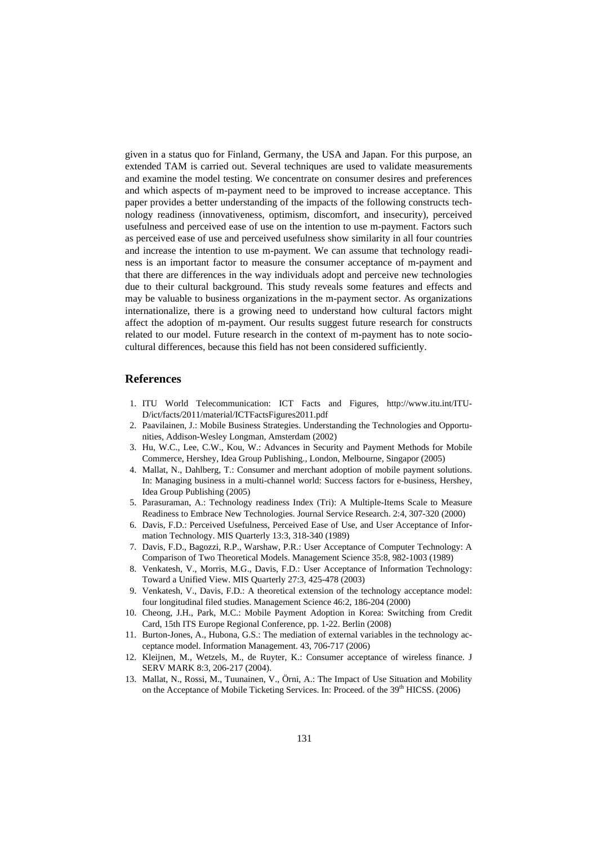given in a status quo for Finland, Germany, the USA and Japan. For this purpose, an extended TAM is carried out. Several techniques are used to validate measurements and examine the model testing. We concentrate on consumer desires and preferences and which aspects of m-payment need to be improved to increase acceptance. This paper provides a better understanding of the impacts of the following constructs technology readiness (innovativeness, optimism, discomfort, and insecurity), perceived usefulness and perceived ease of use on the intention to use m-payment. Factors such as perceived ease of use and perceived usefulness show similarity in all four countries and increase the intention to use m-payment. We can assume that technology readiness is an important factor to measure the consumer acceptance of m-payment and that there are differences in the way individuals adopt and perceive new technologies due to their cultural background. This study reveals some features and effects and may be valuable to business organizations in the m-payment sector. As organizations internationalize, there is a growing need to understand how cultural factors might affect the adoption of m-payment. Our results suggest future research for constructs related to our model. Future research in the context of m-payment has to note sociocultural differences, because this field has not been considered sufficiently.

# **References**

- 1. ITU World Telecommunication: ICT Facts and Figures, http://www.itu.int/ITU-D/ict/facts/2011/material/ICTFactsFigures2011.pdf
- 2. Paavilainen, J.: Mobile Business Strategies. Understanding the Technologies and Opportunities, Addison-Wesley Longman, Amsterdam (2002)
- 3. Hu, W.C., Lee, C.W., Kou, W.: Advances in Security and Payment Methods for Mobile Commerce, Hershey, Idea Group Publishing., London, Melbourne, Singapor (2005)
- 4. Mallat, N., Dahlberg, T.: Consumer and merchant adoption of mobile payment solutions. In: Managing business in a multi-channel world: Success factors for e-business, Hershey, Idea Group Publishing (2005)
- 5. Parasuraman, A.: Technology readiness Index (Tri): A Multiple-Items Scale to Measure Readiness to Embrace New Technologies. Journal Service Research. 2:4, 307-320 (2000)
- 6. Davis, F.D.: Perceived Usefulness, Perceived Ease of Use, and User Acceptance of Information Technology. MIS Quarterly 13:3, 318-340 (1989)
- 7. Davis, F.D., Bagozzi, R.P., Warshaw, P.R.: User Acceptance of Computer Technology: A Comparison of Two Theoretical Models. Management Science 35:8, 982-1003 (1989)
- 8. Venkatesh, V., Morris, M.G., Davis, F.D.: User Acceptance of Information Technology: Toward a Unified View. MIS Quarterly 27:3, 425-478 (2003)
- 9. Venkatesh, V., Davis, F.D.: A theoretical extension of the technology acceptance model: four longitudinal filed studies. Management Science 46:2, 186-204 (2000)
- 10. Cheong, J.H., Park, M.C.: Mobile Payment Adoption in Korea: Switching from Credit Card, 15th ITS Europe Regional Conference, pp. 1-22. Berlin (2008)
- 11. Burton-Jones, A., Hubona, G.S.: The mediation of external variables in the technology acceptance model. Information Management. 43, 706-717 (2006)
- 12. Kleijnen, M., Wetzels, M., de Ruyter, K.: Consumer acceptance of wireless finance. J SERV MARK 8:3, 206-217 (2004).
- 13. Mallat, N., Rossi, M., Tuunainen, V., Örni, A.: The Impact of Use Situation and Mobility on the Acceptance of Mobile Ticketing Services. In: Proceed. of the 39<sup>th</sup> HICSS. (2006)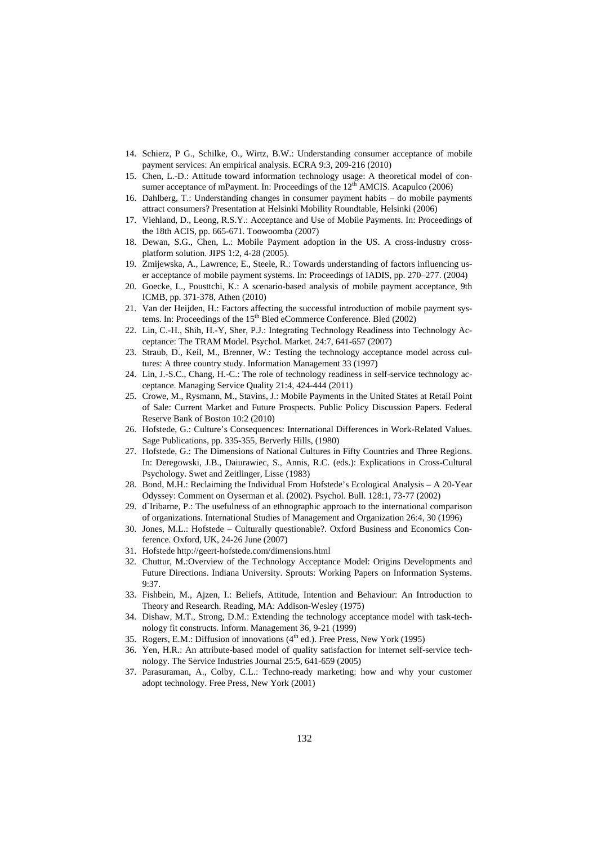- 14. Schierz, P G., Schilke, O., Wirtz, B.W.: Understanding consumer acceptance of mobile payment services: An empirical analysis. ECRA 9:3, 209-216 (2010)
- 15. Chen, L.-D.: Attitude toward information technology usage: A theoretical model of consumer acceptance of mPayment. In: Proceedings of the  $12<sup>th</sup>$  AMCIS. Acapulco (2006)
- 16. Dahlberg, T.: Understanding changes in consumer payment habits do mobile payments attract consumers? Presentation at Helsinki Mobility Roundtable, Helsinki (2006)
- 17. Viehland, D., Leong, R.S.Y.: Acceptance and Use of Mobile Payments. In: Proceedings of the 18th ACIS, pp. 665-671. Toowoomba (2007)
- 18. Dewan, S.G., Chen, L.: Mobile Payment adoption in the US. A cross-industry crossplatform solution. JIPS 1:2, 4-28 (2005).
- 19. Zmijewska, A., Lawrence, E., Steele, R.: Towards understanding of factors influencing user acceptance of mobile payment systems. In: Proceedings of IADIS, pp. 270–277. (2004)
- 20. Goecke, L., Pousttchi, K.: A scenario-based analysis of mobile payment acceptance, 9th ICMB, pp. 371-378, Athen (2010)
- 21. Van der Heijden, H.: Factors affecting the successful introduction of mobile payment systems. In: Proceedings of the  $15<sup>th</sup>$  Bled eCommerce Conference. Bled (2002)
- 22. Lin, C.-H., Shih, H.-Y, Sher, P.J.: Integrating Technology Readiness into Technology Acceptance: The TRAM Model. Psychol. Market. 24:7, 641-657 (2007)
- 23. Straub, D., Keil, M., Brenner, W.: Testing the technology acceptance model across cultures: A three country study. Information Management 33 (1997)
- 24. Lin, J.-S.C., Chang, H.-C.: The role of technology readiness in self-service technology acceptance. Managing Service Quality 21:4, 424-444 (2011)
- 25. Crowe, M., Rysmann, M., Stavins, J.: Mobile Payments in the United States at Retail Point of Sale: Current Market and Future Prospects. Public Policy Discussion Papers. Federal Reserve Bank of Boston 10:2 (2010)
- 26. Hofstede, G.: Culture's Consequences: International Differences in Work-Related Values. Sage Publications, pp. 335-355, Berverly Hills, (1980)
- 27. Hofstede, G.: The Dimensions of National Cultures in Fifty Countries and Three Regions. In: Deregowski, J.B., Daiurawiec, S., Annis, R.C. (eds.): Explications in Cross-Cultural Psychology. Swet and Zeitlinger, Lisse (1983)
- 28. Bond, M.H.: Reclaiming the Individual From Hofstede's Ecological Analysis A 20-Year Odyssey: Comment on Oyserman et al. (2002). Psychol. Bull. 128:1, 73-77 (2002)
- 29. d`Iribarne, P.: The usefulness of an ethnographic approach to the international comparison of organizations. International Studies of Management and Organization 26:4, 30 (1996)
- 30. Jones, M.L.: Hofstede Culturally questionable?. Oxford Business and Economics Conference. Oxford, UK, 24-26 June (2007)
- 31. Hofstede http://geert-hofstede.com/dimensions.html
- 32. Chuttur, M.:Overview of the Technology Acceptance Model: Origins Developments and Future Directions. Indiana University. Sprouts: Working Papers on Information Systems. 9:37.
- 33. Fishbein, M., Ajzen, I.: Beliefs, Attitude, Intention and Behaviour: An Introduction to Theory and Research. Reading, MA: Addison-Wesley (1975)
- 34. Dishaw, M.T., Strong, D.M.: Extending the technology acceptance model with task-technology fit constructs. Inform. Management 36, 9-21 (1999)
- 35. Rogers, E.M.: Diffusion of innovations  $(4<sup>th</sup>$  ed.). Free Press, New York (1995)
- 36. Yen, H.R.: An attribute-based model of quality satisfaction for internet self-service technology. The Service Industries Journal 25:5, 641-659 (2005)
- 37. Parasuraman, A., Colby, C.L.: Techno-ready marketing: how and why your customer adopt technology. Free Press, New York (2001)